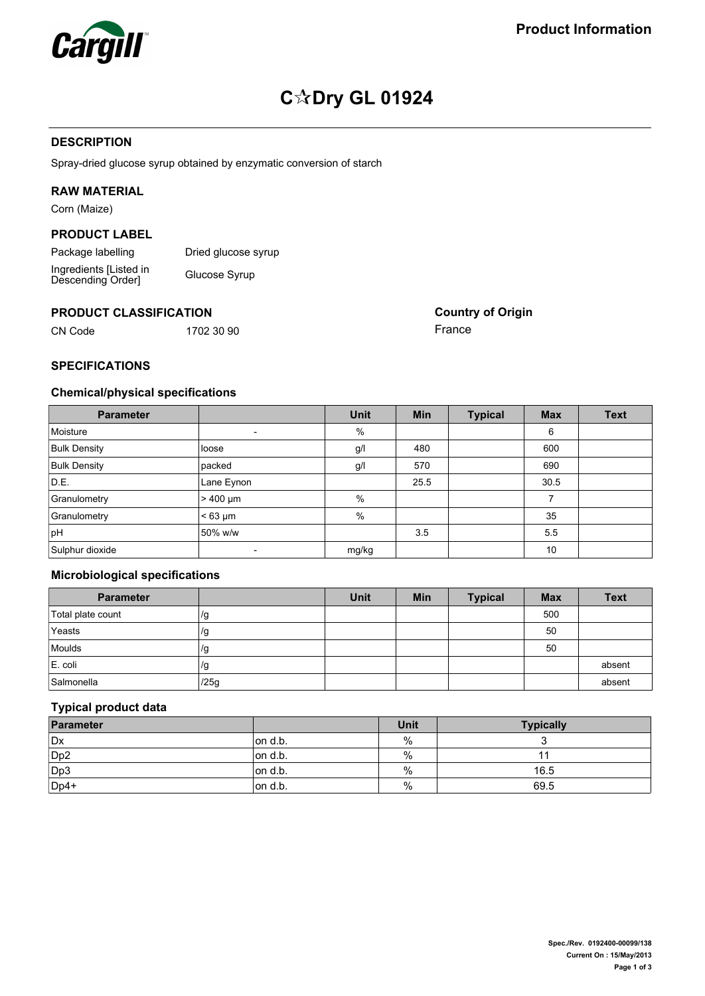

# **C Dry GL 01924**

# **DESCRIPTION**

Spray-dried glucose syrup obtained by enzymatic conversion of starch

# **RAW MATERIAL**

Corn (Maize)

# **PRODUCT LABEL**

Package labelling Dried glucose syrup Ingredients [Listed in Descending Order] Glucose Syrup

#### **PRODUCT CLASSIFICATION**

CN Code 1702 30 90

**Country of Origin** France

# **SPECIFICATIONS**

# **Chemical/physical specifications**

| <b>Parameter</b>    |                          | <b>Unit</b> | <b>Min</b> | <b>Typical</b> | <b>Max</b> | <b>Text</b> |
|---------------------|--------------------------|-------------|------------|----------------|------------|-------------|
| Moisture            | $\overline{\phantom{a}}$ | %           |            |                | 6          |             |
| <b>Bulk Density</b> | loose                    | g/l         | 480        |                | 600        |             |
| <b>Bulk Density</b> | packed                   | g/l         | 570        |                | 690        |             |
| D.E.                | Lane Eynon               |             | 25.5       |                | 30.5       |             |
| Granulometry        | $>400 \mu m$             | %           |            |                |            |             |
| Granulometry        | $< 63 \mu m$             | %           |            |                | 35         |             |
| pH                  | 50% w/w                  |             | 3.5        |                | 55         |             |
| Sulphur dioxide     |                          | mg/kg       |            |                | 10         |             |

# **Microbiological specifications**

| <b>Parameter</b>  |      | <b>Unit</b> | <b>Min</b> | <b>Typical</b> | <b>Max</b> | <b>Text</b> |
|-------------------|------|-------------|------------|----------------|------------|-------------|
| Total plate count | /g   |             |            |                | 500        |             |
| Yeasts            | /g   |             |            |                | 50         |             |
| Moulds            | /g   |             |            |                | 50         |             |
| E. coli           | 7g   |             |            |                |            | absent      |
| Salmonella        | /25g |             |            |                |            | absent      |

### **Typical product data**

| Parameter       |         | Unit | <b>Typically</b> |
|-----------------|---------|------|------------------|
| Dx              | on d.b. | %    |                  |
| Dp <sub>2</sub> | on d.b. | %    |                  |
| Dp3             | on d.b. | $\%$ | 16.5             |
| Dp4+            | on d.b. | $\%$ | 69.5             |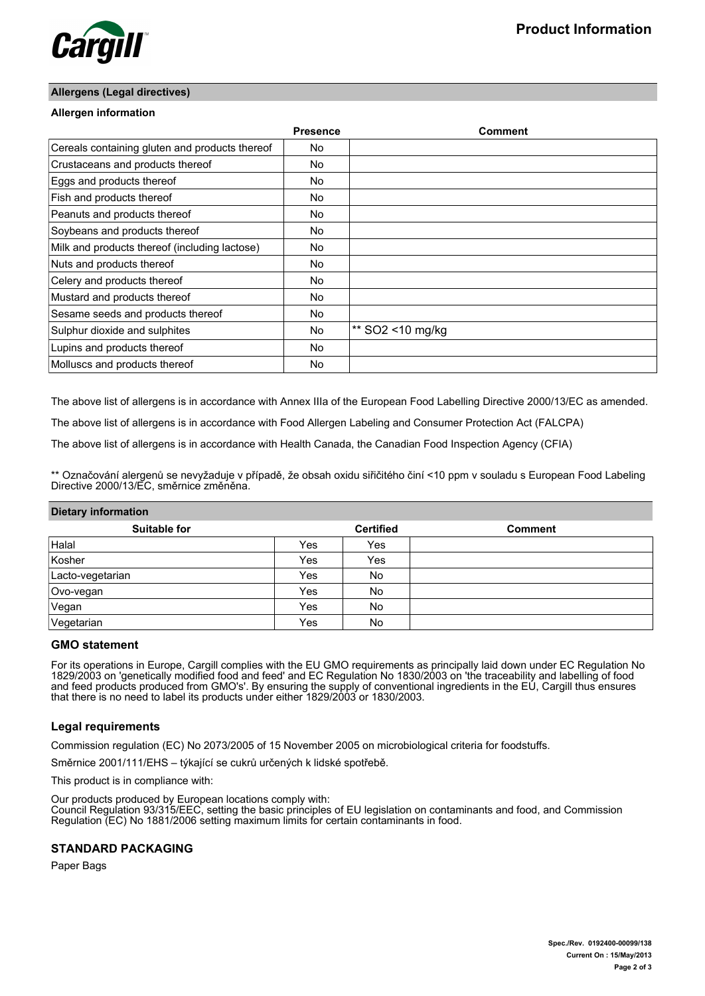

## **Allergens (Legal directives)**

## **Allergen information**

|                                                | <b>Presence</b> | Comment          |
|------------------------------------------------|-----------------|------------------|
| Cereals containing gluten and products thereof | No              |                  |
| Crustaceans and products thereof               | No              |                  |
| Eggs and products thereof                      | No              |                  |
| Fish and products thereof                      | No              |                  |
| Peanuts and products thereof                   | No              |                  |
| Soybeans and products thereof                  | No              |                  |
| Milk and products thereof (including lactose)  | No              |                  |
| Nuts and products thereof                      | No              |                  |
| Celery and products thereof                    | No              |                  |
| Mustard and products thereof                   | No              |                  |
| Sesame seeds and products thereof              | No              |                  |
| Sulphur dioxide and sulphites                  | No              | ** SO2 <10 mg/kg |
| Lupins and products thereof                    | No              |                  |
| Molluscs and products thereof                  | No              |                  |

The above list of allergens is in accordance with Annex IIIa of the European Food Labelling Directive 2000/13/EC as amended.

The above list of allergens is in accordance with Food Allergen Labeling and Consumer Protection Act (FALCPA)

The above list of allergens is in accordance with Health Canada, the Canadian Food Inspection Agency (CFIA)

\*\* Označování alergenů se nevyžaduje v případě, že obsah oxidu siřičitého činí <10 ppm v souladu s European Food Labeling Directive 2000/13/EC, směrnice změněna.

#### **Dietary information**

| <b>Suitable for</b> |     | <b>Certified</b> | <b>Comment</b> |
|---------------------|-----|------------------|----------------|
| Halal               | Yes | Yes              |                |
| Kosher              | Yes | Yes              |                |
| Lacto-vegetarian    | Yes | No               |                |
| Ovo-vegan           | Yes | No               |                |
| Vegan               | Yes | No               |                |
| Vegetarian          | Yes | No               |                |

#### **GMO statement**

For its operations in Europe, Cargill complies with the EU GMO requirements as principally laid down under EC Regulation No 1829/2003 on 'genetically modified food and feed' and EC Regulation No 1830/2003 on 'the traceability and labelling of food and feed products produced from GMO's'. By ensuring the supply of conventional ingredients in the EU, Cargill thus ensures that there is no need to label its products under either 1829/2003 or 1830/2003.

### **Legal requirements**

Commission regulation (EC) No 2073/2005 of 15 November 2005 on microbiological criteria for foodstuffs.

Směrnice 2001/111/EHS – týkající se cukrů určených k lidské spotřebě.

This product is in compliance with:

Our products produced by European locations comply with: Council Regulation 93/315/EEC, setting the basic principles of EU legislation on contaminants and food, and Commission Regulation (EC) No 1881/2006 setting maximum limits for certain contaminants in food.

### **STANDARD PACKAGING**

Paper Bags